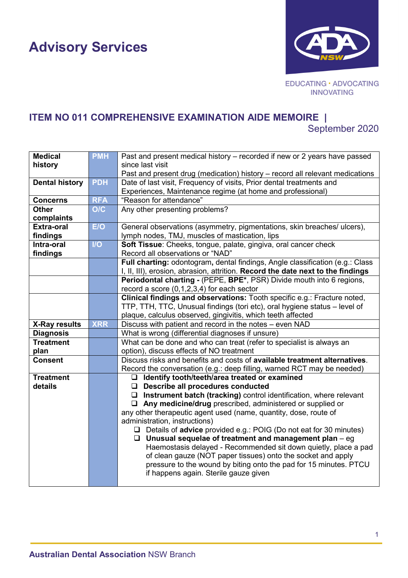## **Advisory Services**



## **ITEM NO 011 COMPREHENSIVE EXAMINATION AIDE MEMOIRE |**  September 2020

| <b>Medical</b>        | <b>PMH</b>       | Past and present medical history - recorded if new or 2 years have passed                                  |  |
|-----------------------|------------------|------------------------------------------------------------------------------------------------------------|--|
| history               |                  | since last visit                                                                                           |  |
|                       |                  | Past and present drug (medication) history - record all relevant medications                               |  |
| <b>Dental history</b> | <b>PDH</b>       | Date of last visit, Frequency of visits, Prior dental treatments and                                       |  |
|                       |                  | Experiences, Maintenance regime (at home and professional)                                                 |  |
| <b>Concerns</b>       | <b>RFA</b>       | "Reason for attendance"                                                                                    |  |
| <b>Other</b>          | O/C              | Any other presenting problems?                                                                             |  |
| complaints            |                  |                                                                                                            |  |
| <b>Extra-oral</b>     | E/O              | General observations (asymmetry, pigmentations, skin breaches/ ulcers),                                    |  |
| findings              |                  | lymph nodes, TMJ, muscles of mastication, lips                                                             |  |
| Intra-oral            | $\overline{1/O}$ | Soft Tissue: Cheeks, tongue, palate, gingiva, oral cancer check                                            |  |
| findings              |                  | Record all observations or "NAD"                                                                           |  |
|                       |                  | Full charting: odontogram, dental findings, Angle classification (e.g.: Class                              |  |
|                       |                  | I, II, III), erosion, abrasion, attrition. Record the date next to the findings                            |  |
|                       |                  | Periodontal charting - (PEPE, BPE*, PSR) Divide mouth into 6 regions,                                      |  |
|                       |                  | record a score $(0,1,2,3,4)$ for each sector                                                               |  |
|                       |                  | Clinical findings and observations: Tooth specific e.g.: Fracture noted,                                   |  |
|                       |                  | TTP, TTH, TTC, Unusual findings (tori etc), oral hygiene status - level of                                 |  |
|                       |                  | plaque, calculus observed, gingivitis, which teeth affected                                                |  |
| <b>X-Ray results</b>  | <b>XRR</b>       | Discuss with patient and record in the notes - even NAD                                                    |  |
| <b>Diagnosis</b>      |                  | What is wrong (differential diagnoses if unsure)                                                           |  |
| <b>Treatment</b>      |                  | What can be done and who can treat (refer to specialist is always an                                       |  |
| plan                  |                  | option), discuss effects of NO treatment                                                                   |  |
| <b>Consent</b>        |                  | Discuss risks and benefits and costs of available treatment alternatives.                                  |  |
|                       |                  | Record the conversation (e.g.: deep filling, warned RCT may be needed)                                     |  |
| <b>Treatment</b>      |                  | $\Box$ Identify tooth/teeth/area treated or examined                                                       |  |
| details               |                  | $\Box$ Describe all procedures conducted                                                                   |  |
|                       |                  | $\Box$ Instrument batch (tracking) control identification, where relevant                                  |  |
|                       |                  | $\Box$ Any medicine/drug prescribed, administered or supplied or                                           |  |
|                       |                  | any other therapeutic agent used (name, quantity, dose, route of<br>administration, instructions)          |  |
|                       |                  | Details of advice provided e.g.: POIG (Do not eat for 30 minutes)                                          |  |
|                       |                  | $\Box$ Unusual sequelae of treatment and management plan - eg                                              |  |
|                       |                  | Haemostasis delayed - Recommended sit down quietly, place a pad                                            |  |
|                       |                  |                                                                                                            |  |
|                       |                  |                                                                                                            |  |
|                       |                  | of clean gauze (NOT paper tissues) onto the socket and apply                                               |  |
|                       |                  | pressure to the wound by biting onto the pad for 15 minutes. PTCU<br>if happens again. Sterile gauze given |  |